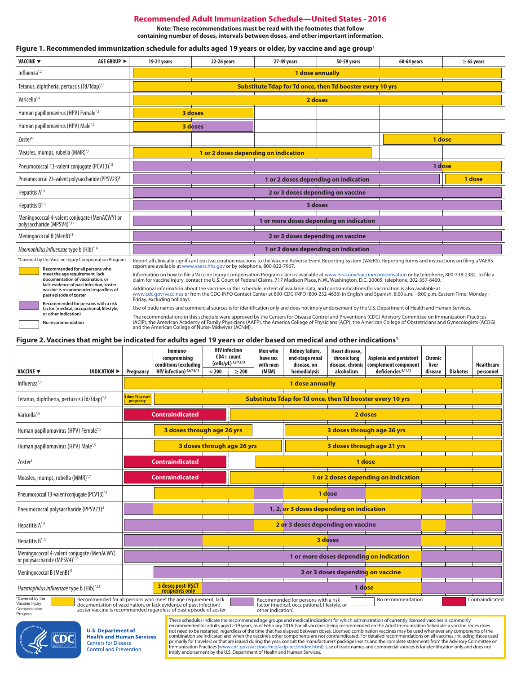### **Recommended Adult Immunization Schedule—United States - 2016**

**Note: These recommendations must be read with the footnotes that follow**

**containing number of doses, intervals between doses, and other important information.**

### **Figure 1. Recommended immunization schedule for adults aged 19 years or older, by vaccine and age group1**

| AGE GROUP ▶<br>VACCINE V                                                    | 19-21 years                                               | 22-26 years                          | 27-49 years | 50-59 years | 60-64 years | $\geq 65$ years |  |  |  |
|-----------------------------------------------------------------------------|-----------------------------------------------------------|--------------------------------------|-------------|-------------|-------------|-----------------|--|--|--|
| Influenza $*$ <sup>2</sup>                                                  | 1 dose annually                                           |                                      |             |             |             |                 |  |  |  |
| Tetanus, diphtheria, pertussis (Td/Tdap)*,3                                 | Substitute Tdap for Td once, then Td booster every 10 yrs |                                      |             |             |             |                 |  |  |  |
| Varicella <sup>*,4</sup>                                                    | 2 doses                                                   |                                      |             |             |             |                 |  |  |  |
| Human papillomavirus (HPV) Female*,5                                        |                                                           | 3 doses                              |             |             |             |                 |  |  |  |
| Human papillomavirus (HPV) Male <sup>*,5</sup>                              |                                                           | 3 doses                              |             |             |             |                 |  |  |  |
| Zoster <sup>6</sup>                                                         |                                                           |                                      |             |             | 1 dose      |                 |  |  |  |
| Measles, mumps, rubella (MMR) <sup>*,7</sup>                                |                                                           | 1 or 2 doses depending on indication |             |             |             |                 |  |  |  |
| Pneumococcal 13-valent conjugate (PCV13)*,8                                 |                                                           | 1 dose                               |             |             |             |                 |  |  |  |
| Pneumococcal 23-valent polysaccharide (PPSV23) <sup>8</sup>                 |                                                           | 1 or 2 doses depending on indication |             |             |             |                 |  |  |  |
| Hepatitis A*,9                                                              | 2 or 3 doses depending on vaccine                         |                                      |             |             |             |                 |  |  |  |
| Hepatitis $\mathsf{B}^{*,\text{10}}$                                        | 3 doses                                                   |                                      |             |             |             |                 |  |  |  |
| Meningococcal 4-valent conjugate (MenACWY) or<br>polysaccharide (MPSV4)*,11 | 1 or more doses depending on indication                   |                                      |             |             |             |                 |  |  |  |
| Meningococcal B (MenB) <sup>11</sup>                                        | 2 or 3 doses depending on vaccine                         |                                      |             |             |             |                 |  |  |  |
| Haemophilus influenzae type b (Hib)*,12                                     | 1 or 3 doses depending on indication                      |                                      |             |             |             |                 |  |  |  |

\*Covered by the Vaccine Injury Compensation Program

**No recommendation**



**Recommended for all persons who meet the age requirement, lack documentation of vaccination, or lack evidence of past infection; zoster vaccine is recommended regardless of past episode of zoster Recommended for persons with a risk factor (medical, occupational, lifestyle, or other indication)**

Report all clinically significant postvaccination reactions to the Vaccine Adverse Event Reporting System (VAERS). Reporting forms and instructions on filing a VAERS report are available at<www.vaers.hhs.gov> or by telephone, 800-822-7967.

Information on how to file a Vaccine Injury Compensation Program claim is available at <www.hrsa.gov/vaccinecompensation> or by telephone, 800-338-2382. To file a claim for vaccine injury, contact the U.S. Court of Federal Claims, 717 Madison Place, N.W., Washington, D.C. 20005; telephone, 202-357-6400.

Additional information about the vaccines in this schedule, extent of available data, and contraindications for vaccination is also available at<br><www.cdc.gov/vaccines>or from the CDC-INFO Contact Center at 800-CDC-INFO (800

Use of trade names and commercial sources is for identification only and does not imply endorsement by the U.S. Department of Health and Human Services. The recommendations in this schedule were approved by the Centers for Disease Control and Prevention's (CDC) Advisory Committee on Immunization Practices (ACIP), the American Academy of Family Physicians (AAFP), the America College of Physicians (ACP), the American College of Obstetricians and Gynecologists (ACOG)<br>and the American College of Nurse-Midwives (ACNM).

### **Figure 2. Vaccines that might be indicated for adults aged 19 years or older based on medical and other indications1**

|                                                                             |                               | Immuno-<br>compromising<br>conditions (excludina                                                                                    |       | <b>HIV</b> infection<br>$CD4+$ count<br>(cells/ $\mu$ L) $4,6,7,8,13$ | Men who<br>have sex<br>with men | Kidney failure,<br>end-stage renal<br>disease, on                                   | Heart disease,<br>chronic lung<br>disease, chronic | <b>Asplenia and persistent</b><br>complement component    | Chronic<br>liver |                 | <b>Healthcare</b> |
|-----------------------------------------------------------------------------|-------------------------------|-------------------------------------------------------------------------------------------------------------------------------------|-------|-----------------------------------------------------------------------|---------------------------------|-------------------------------------------------------------------------------------|----------------------------------------------------|-----------------------------------------------------------|------------------|-----------------|-------------------|
| VACCINE $\blacktriangledown$<br>INDICATION $\blacktriangleright$            | Pregnancy                     | HIV infection) 4,6,7,8,13                                                                                                           | < 200 | $\geq 200$                                                            | (MSM)                           | hemodialysis                                                                        | alcoholism                                         | deficiencies 8,11,12                                      | disease          | <b>Diabetes</b> | personnel         |
| Influenza $*$ <sup>2</sup>                                                  |                               |                                                                                                                                     |       |                                                                       |                                 | 1 dose annually                                                                     |                                                    |                                                           |                  |                 |                   |
| Tetanus, diphtheria, pertussis (Td/Tdap)* <sup>3</sup>                      | I dose Tdap each<br>pregnancy |                                                                                                                                     |       |                                                                       |                                 |                                                                                     |                                                    | Substitute Tdap for Td once, then Td booster every 10 yrs |                  |                 |                   |
| Varicella*,4                                                                |                               | <b>Contraindicated</b>                                                                                                              |       |                                                                       |                                 |                                                                                     |                                                    | 2 doses                                                   |                  |                 |                   |
| Human papillomavirus (HPV) Female*,5                                        |                               | 3 doses through age 26 yrs                                                                                                          |       |                                                                       |                                 |                                                                                     |                                                    | 3 doses through age 26 yrs                                |                  |                 |                   |
| Human papillomavirus (HPV) Male <sup>*,5</sup>                              |                               |                                                                                                                                     |       | 3 doses through age 26 yrs                                            |                                 |                                                                                     |                                                    | 3 doses through age 21 yrs                                |                  |                 |                   |
| Zoster <sup>6</sup>                                                         |                               | <b>Contraindicated</b>                                                                                                              |       |                                                                       |                                 |                                                                                     |                                                    | 1 dose                                                    |                  |                 |                   |
| Measles, mumps, rubella (MMR)*,7                                            |                               | <b>Contraindicated</b>                                                                                                              |       |                                                                       |                                 |                                                                                     |                                                    | 1 or 2 doses depending on indication                      |                  |                 |                   |
| Pneumococcal 13-valent conjugate (PCV13) <sup>*8</sup>                      |                               |                                                                                                                                     |       |                                                                       |                                 |                                                                                     | 1 dose                                             |                                                           |                  |                 |                   |
| Pneumococcal polysaccharide (PPSV23) <sup>8</sup>                           |                               |                                                                                                                                     |       |                                                                       |                                 | 1, 2, or 3 doses depending on indication                                            |                                                    |                                                           |                  |                 |                   |
| Hepatitis A*,9                                                              |                               |                                                                                                                                     |       |                                                                       |                                 | 2 or 3 doses depending on vaccine                                                   |                                                    |                                                           |                  |                 |                   |
| Hepatitis B*,10                                                             |                               |                                                                                                                                     |       |                                                                       |                                 |                                                                                     | 3 doses                                            |                                                           |                  |                 |                   |
| Meningococcal 4-valent conjugate (MenACWY)<br>or polysaccharide (MPSV4)*,11 |                               |                                                                                                                                     |       |                                                                       |                                 |                                                                                     |                                                    | 1 or more doses depending on indication                   |                  |                 |                   |
| Meningococcal B (MenB) <sup>11</sup>                                        |                               |                                                                                                                                     |       |                                                                       |                                 |                                                                                     | 2 or 3 doses depending on vaccine                  |                                                           |                  |                 |                   |
| Haemophilus influenzae type b (Hib)*,12                                     |                               | 3 doses post-HSCT<br>recipients only                                                                                                |       |                                                                       |                                 |                                                                                     | 1 dose                                             |                                                           |                  |                 |                   |
| *Covered by the<br>Vaccine Injury                                           |                               | Recommended for all persons who meet the age requirement, lack<br>documentation of vaccination, or lack evidence of past infection; |       |                                                                       |                                 | Recommended for persons with a risk<br>factor (medical, occupational, lifestyle, or |                                                    | No recommendation                                         |                  |                 | Contraindicated   |

Compensation Program

documentation of vaccination, or lack evidence of past infection; zoster vaccine is recommended regardless of past episode of zoster

other indication)



**U.S. Department of Health and Human Services Centers for Disease** Control and Prevention

These schedules indicate the recommended age groups and medical indications for which administration of currently licensed vaccines is commonly<br>recommended for adults aged ≥19 years, as of February 2016. For all vaccines combination are indicated and when the vaccine's other components are not contraindicated. For detailed recommendations on all vaccines, including those used<br>primarily for travelers or that are issued during the year, cons primarily for travelers or that are issued during the year, consult the manufacturers' package inserts and the complete statements from the Advisory Committee on<br>Immunization Practices ([www.cdc.gov/vaccines/hcp/acip-](www.cdc.gov/vaccines/hcp/acip)recs/i imply endorsement by the U.S. Department of Health and Human Services.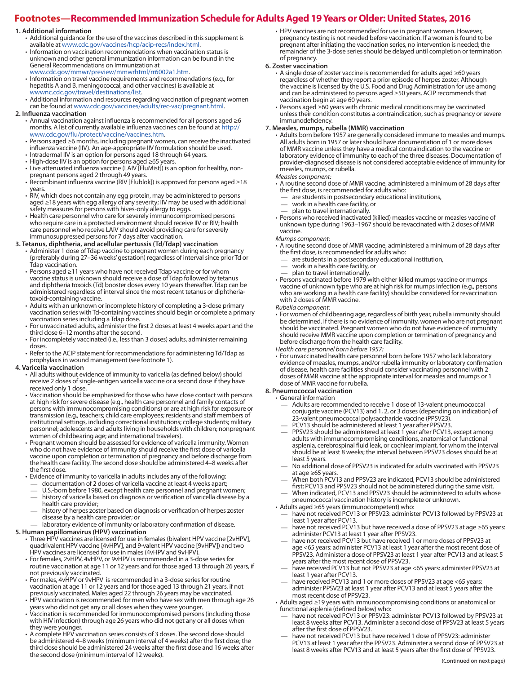## **Footnotes—Recommended Immunization Schedule for Adults Aged 19 Years or Older: United States, 2016**

- **1. Additional information**<br>• Additional guidance for the use of the vaccines described in this supplement is available at [www.cdc.gov/vaccines/hcp/acip-](www.cdc.gov/vaccines/hcp/acip-recs/index.html)recs/[index.html](www.cdc.gov/vaccines/hcp/acip-recs/index.html).
	- Information on vaccination recommendations when vaccination status is unknown and other general immunization information can be found in the General Recommendations on Immunization at [www.cdc.gov/mmwr/preview/mmwrhtml/rr6002a1.htm.](www.cdc.gov/mmwr/preview/mmwrhtml/rr6002a1.htm)
	- Information on travel vaccine requirements and recommendations (e.g., for hepatitis A and B, meningococcal, and other vaccines) is available at [wwwnc.cdc.gov/travel/destinations/list.](wwwnc.cdc.gov/travel/destinations/list)
	- Additional information and resources regarding vaccination of pregnant women can be found at [www.cdc.gov/vaccines/adults/rec-](www.cdc.gov/vaccines/adults/rec-vac/pregnant.html)vac/[pregnant.html.](www.cdc.gov/vaccines/adults/rec-vac/pregnant.html)

- **2. Influenza vaccination**<br>**•** Annual vaccination against influenza is recommended for all persons aged ≥6 months. A list of currently available influenza vaccines can be found at http:// www.cdc.gov/flu/protect/vaccine/vaccines.htm.
	- • Persons aged ≥6 months, including pregnant women, can receive the inactivated influenza vaccine (IIV). An age-appropriate IIV formulation should be used.
	- Intradermal IIV is an option for persons aged 18 through 64 years.
	- • High-dose IIV is an option for persons aged ≥65 years.
	- Live attenuated influenza vaccine (LAIV [FluMist]) is an option for healthy, nonpregnant persons aged 2 through 49 years.
	- • Recombinant influenza vaccine (RIV [Flublok]) is approved for persons aged ≥18 years.
	- RIV, which does not contain any egg protein, may be administered to persons aged ≥18 years with egg allergy of any severity; IIV may be used with additional safety measures for persons with hives-only allergy to eggs.
	- Health care personnel who care for severely immunocompromised persons who require care in a protected environment should receive IIV or RIV; health care personnel who receive LAIV should avoid providing care for severely

# immunosuppressed persons for 7 days after vaccination.<br>3. Tetanus, diphtheria, and acellular pertussis (Td/Tdap) vaccination

- **3. Tetanus, diphtheria, and acellular pertussis (Td/Tdap) vaccination** • Administer 1 dose of Tdap vaccine to pregnant women during each pregnancy (preferably during 27–36 weeks' gestation) regardless of interval since prior Td or Tdap vaccination.
- Persons aged ≥11 years who have not received Tdap vaccine or for whom vaccine status is unknown should receive a dose of Tdap followed by tetanus and diphtheria toxoids (Td) booster doses every 10 years thereafter. Tdap can be administered regardless of interval since the most recent tetanus or diphtheriatoxoid-containing vaccine.
- Adults with an unknown or incomplete history of completing a 3-dose primary vaccination series with Td-containing vaccines should begin or complete a primary vaccination series including a Tdap dose.
- For unvaccinated adults, administer the first 2 doses at least 4 weeks apart and the third dose 6–12 months after the second.
- For incompletely vaccinated (i.e., less than 3 doses) adults, administer remaining doses.
- Refer to the ACIP statement for recommendations for administering Td/Tdap as prophylaxis in wound management (see footnote 1).

- **4. Varicella vaccination**<br>**•** All adults without evidence of immunity to varicella (as defined below) should receive 2 doses of single-antigen varicella vaccine or a second dose if they have received only 1 dose.
	- Vaccination should be emphasized for those who have close contact with persons at high risk for severe disease (e.g., health care personnel and family contacts of persons with immunocompromising conditions) or are at high risk for exposure or transmission (e.g., teachers; child care employees; residents and staff members of institutional settings, including correctional institutions; college students; military personnel; adolescents and adults living in households with children; nonpregnant women of childbearing age; and international travelers).
	- Pregnant women should be assessed for evidence of varicella immunity. Women who do not have evidence of immunity should receive the first dose of varicella vaccine upon completion or termination of pregnancy and before discharge from the health care facility. The second dose should be administered 4–8 weeks after the first dose.
	- Evidence of immunity to varicella in adults includes any of the following: documentation of 2 doses of varicella vaccine at least 4 weeks apart;
	- U.S.-born before 1980, except health care personnel and pregnant women; — history of varicella based on diagnosis or verification of varicella disease by a health care provider;
	- history of herpes zoster based on diagnosis or verification of herpes zoster disease by a health care provider; or
- laboratory evidence of immunity or laboratory confirmation of disease.<br>5. Human papillomavirus (HPV) vaccination
	- Three HPV vaccines are licensed for use in females (bivalent HPV vaccine [2vHPV], quadrivalent HPV vaccine [4vHPV], and 9-valent HPV vaccine [9vHPV]) and two HPV vaccines are licensed for use in males (4vHPV and 9vHPV).
	- For females, 2vHPV, 4vHPV, or 9vHPV is recommended in a 3-dose series for routine vaccination at age 11 or 12 years and for those aged 13 through 26 years, if not previously vaccinated.
	- For males, 4vHPV or 9vHPV is recommended in a 3-dose series for routine vaccination at age 11 or 12 years and for those aged 13 through 21 years, if not previously vaccinated. Males aged 22 through 26 years may be vaccinated.
	- HPV vaccination is recommended for men who have sex with men through age 26 years who did not get any or all doses when they were younger.
	- Vaccination is recommended for immunocompromised persons (including those with HIV infection) through age 26 years who did not get any or all doses when they were younger.
	- A complete HPV vaccination series consists of 3 doses. The second dose should be administered 4–8 weeks (minimum interval of 4 weeks) after the first dose; the third dose should be administered 24 weeks after the first dose and 16 weeks after the second dose (minimum interval of 12 weeks).

• HPV vaccines are not recommended for use in pregnant women. However, pregnancy testing is not needed before vaccination. If a woman is found to be pregnant after initiating the vaccination series, no intervention is needed; the remainder of the 3-dose series should be delayed until completion or termination

# of pregnancy.<br>**6. Zoster vaccination**

- **A single dose of zoster vaccine is recommended for adults aged ≥60 years** regardless of whether they report a prior episode of herpes zoster. Although the vaccine is licensed by the U.S. Food and Drug Administration for use among and can be administered to persons aged ≥50 years, ACIP recommends that vaccination begin at age 60 years.
- Persons aged ≥60 years with chronic medical conditions may be vaccinated unless their condition constitutes a contraindication, such as pregnancy or severe immunodeficiency.

- **7. Measles, mumps, rubella (MMR) vaccination**<br>• Adults born before 1957 are generally considered immune to measles and mumps. All adults born in 1957 or later should have documentation of 1 or more doses of MMR vaccine unless they have a medical contraindication to the vaccine or laboratory evidence of immunity to each of the three diseases. Documentation of provider-diagnosed disease is not considered acceptable evidence of immunity for measles, mumps, or rubella.
	- *Measles component:*
	- A routine second dose of MMR vaccine, administered a minimum of 28 days after the first dose, is recommended for adults who:
		- are students in postsecondary educational institutions,
		- work in a health care facility, or
		- plan to travel internationally.
	- Persons who received inactivated (killed) measles vaccine or measles vaccine of unknown type during 1963–1967 should be revaccinated with 2 doses of MMR vaccine.

*Mumps component:*

- • A routine second dose of MMR vaccine, administered a minimum of 28 days after the first dose, is recommended for adults who:
	- are students in a postsecondary educational institution,
	- work in a health care facility, or
	- plan to travel internationally.
- Persons vaccinated before 1979 with either killed mumps vaccine or mumps vaccine of unknown type who are at high risk for mumps infection (e.g., persons who are working in a health care facility) should be considered for revaccination with 2 doses of MMR vaccine.

### *Rubella component:*

- For women of childbearing age, regardless of birth year, rubella immunity should be determined. If there is no evidence of immunity, women who are not pregnant should be vaccinated. Pregnant women who do not have evidence of immunity should receive MMR vaccine upon completion or termination of pregnancy and before discharge from the health care facility.
- *Health care personnel born before 1957:*
- For unvaccinated health care personnel born before 1957 who lack laboratory evidence of measles, mumps, and/or rubella immunity or laboratory confirmation of disease, health care facilities should consider vaccinating personnel with 2 doses of MMR vaccine at the appropriate interval for measles and mumps or 1 dose of MMR vaccine for rubella.

- **8. Pneumococcal vaccination**<br>**•** General information
	- Adults are recommended to receive 1 dose of 13-valent pneumococcal conjugate vaccine (PCV13) and 1, 2, or 3 doses (depending on indication) of 23-valent pneumococcal polysaccharide vaccine (PPSV23).
	- PCV13 should be administered at least 1 year after PPSV23.
	- PPSV23 should be administered at least 1 year after PCV13, except among adults with immunocompromising conditions, anatomical or functional asplenia, cerebrospinal fluid leak, or cochlear implant, for whom the interval should be at least 8 weeks; the interval between PPSV23 doses should be at least 5 years.
	- No additional dose of PPSV23 is indicated for adults vaccinated with PPSV23 at age ≥65 years.
	- When both PCV13 and PPSV23 are indicated, PCV13 should be administered first; PCV13 and PPSV23 should not be administered during the same visit.
	- When indicated, PCV13 and PPSV23 should be administered to adults whose pneumococcal vaccination history is incomplete or unknown.
	- • Adults aged ≥65 years (immunocompetent) who:
	- have not received PCV13 or PPSV23: administer PCV13 followed by PPSV23 at least 1 year after PCV13.
	- have not received PCV13 but have received a dose of PPSV23 at age ≥65 years: administer PCV13 at least 1 year after PPSV23.
	- have not received PCV13 but have received 1 or more doses of PPSV23 at age <65 years: administer PCV13 at least 1 year after the most recent dose of PPSV23. Administer a dose of PPSV23 at least 1 year after PCV13 and at least 5 years after the most recent dose of PPSV23.
	- have received PCV13 but not PPSV23 at age <65 years: administer PPSV23 at least 1 year after PCV13.
	- have received PCV13 and 1 or more doses of PPSV23 at age <65 years: administer PPSV23 at least 1 year after PCV13 and at least 5 years after the most recent dose of PPSV23.
	- • Adults aged ≥19 years with immunocompromising conditions or anatomical or functional asplenia (defined below) who:
	- have not received PCV13 or PPSV23: administer PCV13 followed by PPSV23 at least 8 weeks after PCV13. Administer a second dose of PPSV23 at least 5 years after the first dose of PPSV23.
	- have not received PCV13 but have received 1 dose of PPSV23: administer PCV13 at least 1 year after the PPSV23. Administer a second dose of PPSV23 at least 8 weeks after PCV13 and at least 5 years after the first dose of PPSV23.